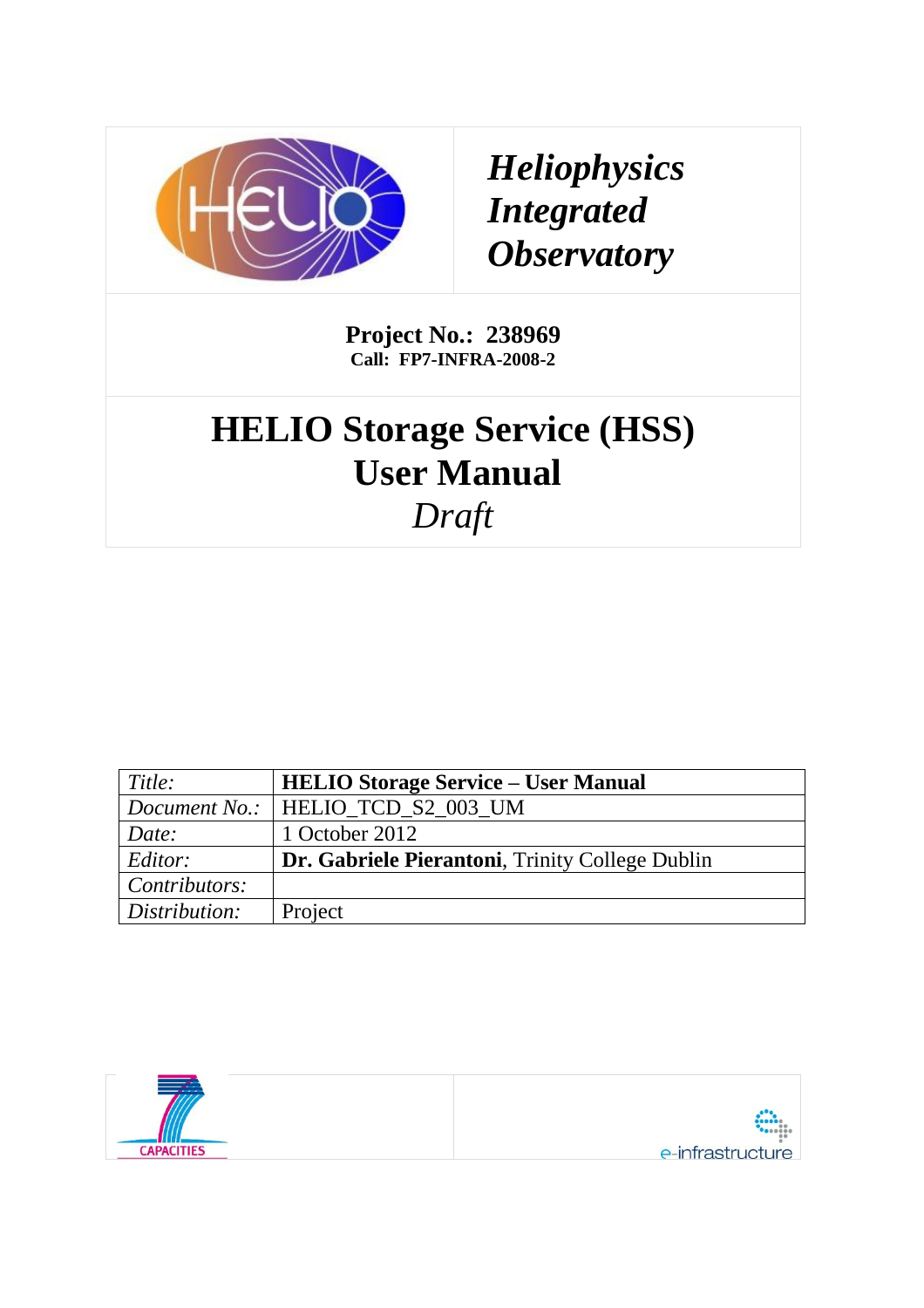

*Heliophysics Integrated Observatory*

**Project No.: 238969 Call: FP7-INFRA-2008-2**

# **HELIO Storage Service (HSS) User Manual** *Draft*

| Title:        | <b>HELIO Storage Service – User Manual</b>      |  |
|---------------|-------------------------------------------------|--|
|               | Document No.:   HELIO_TCD_S2_003_UM             |  |
| Date:         | 1 October 2012                                  |  |
| Editor:       | Dr. Gabriele Pierantoni, Trinity College Dublin |  |
| Contributors: |                                                 |  |
| Distribution: | Project                                         |  |

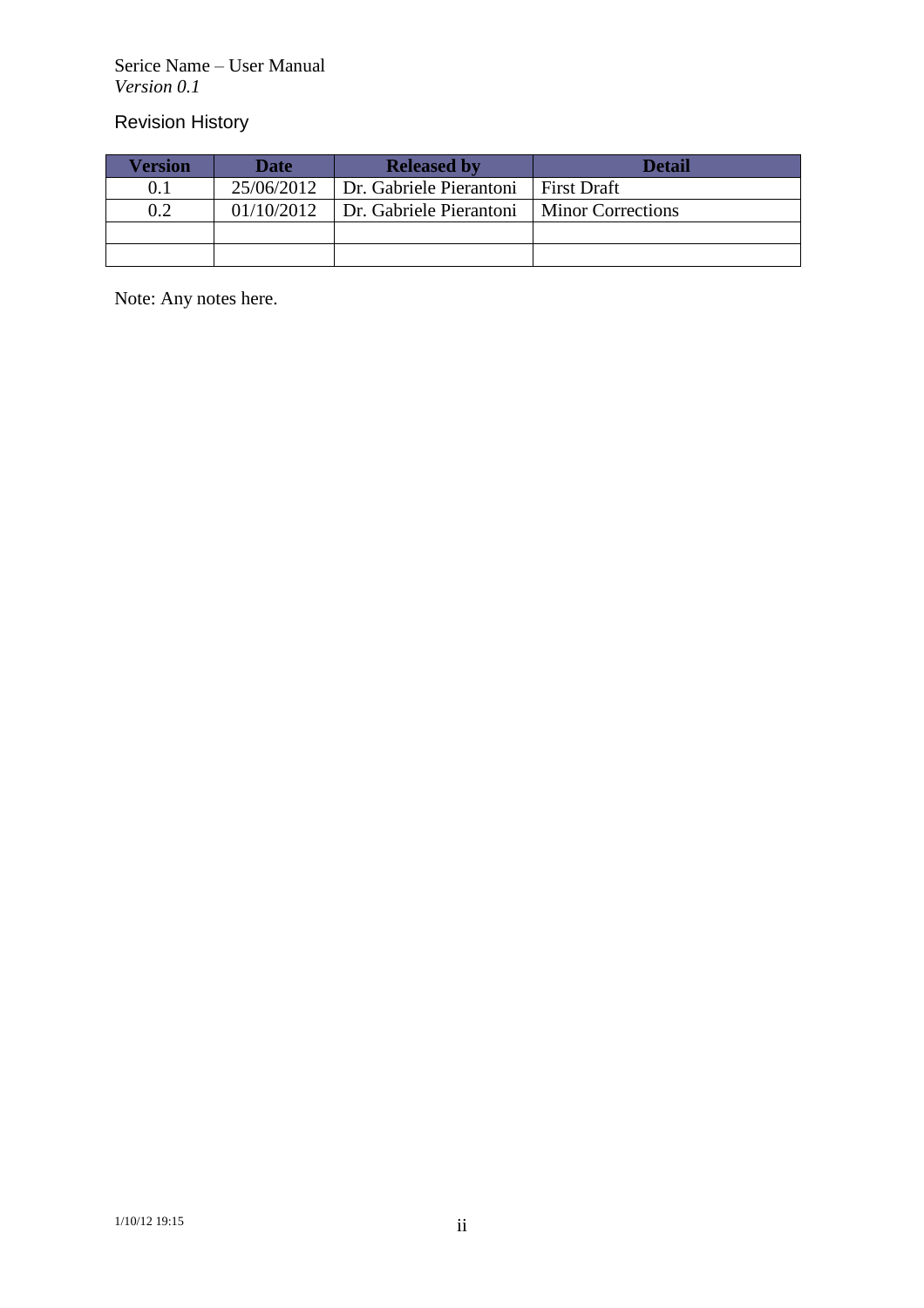Serice Name – User Manual *Version 0.1*

Revision History

| <b>Version</b> | Date       | <b>Detail</b><br><b>Released by</b> |                          |  |
|----------------|------------|-------------------------------------|--------------------------|--|
|                | 25/06/2012 | Dr. Gabriele Pierantoni             | <b>First Draft</b>       |  |
| 0.2            | 01/10/2012 | Dr. Gabriele Pierantoni             | <b>Minor Corrections</b> |  |
|                |            |                                     |                          |  |
|                |            |                                     |                          |  |

Note: Any notes here.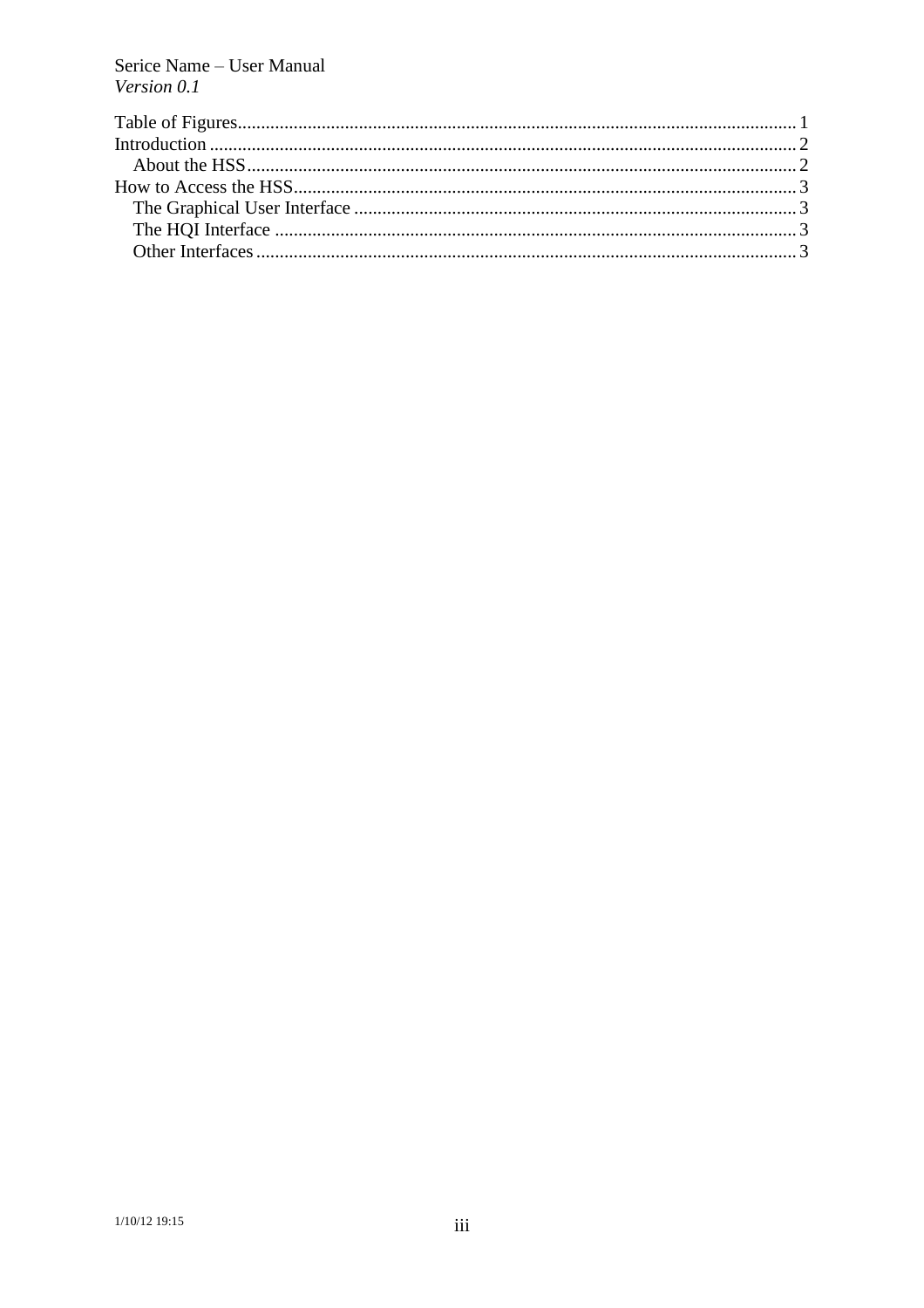Serice Name - User Manual Version 0.1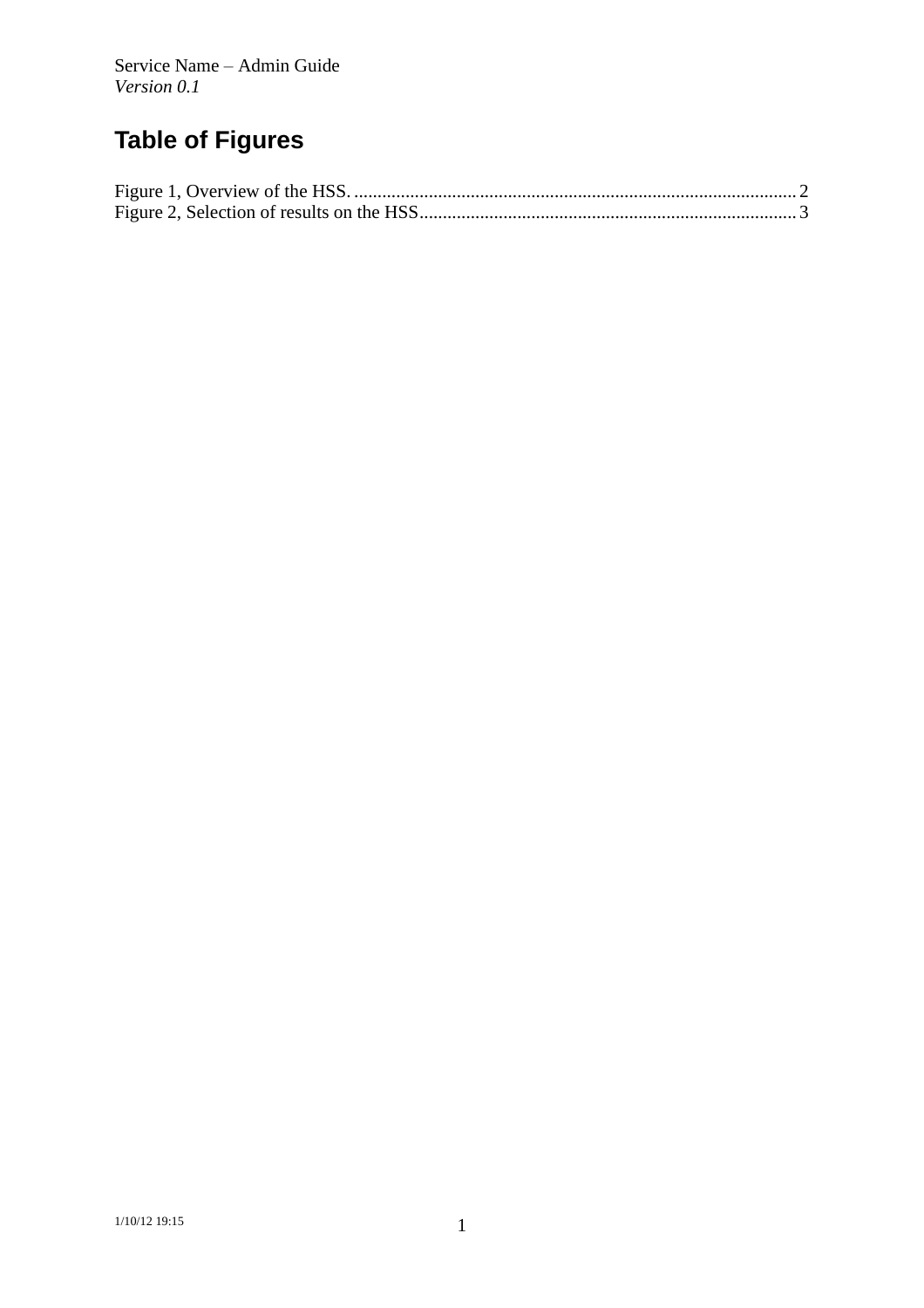## **Table of Figures**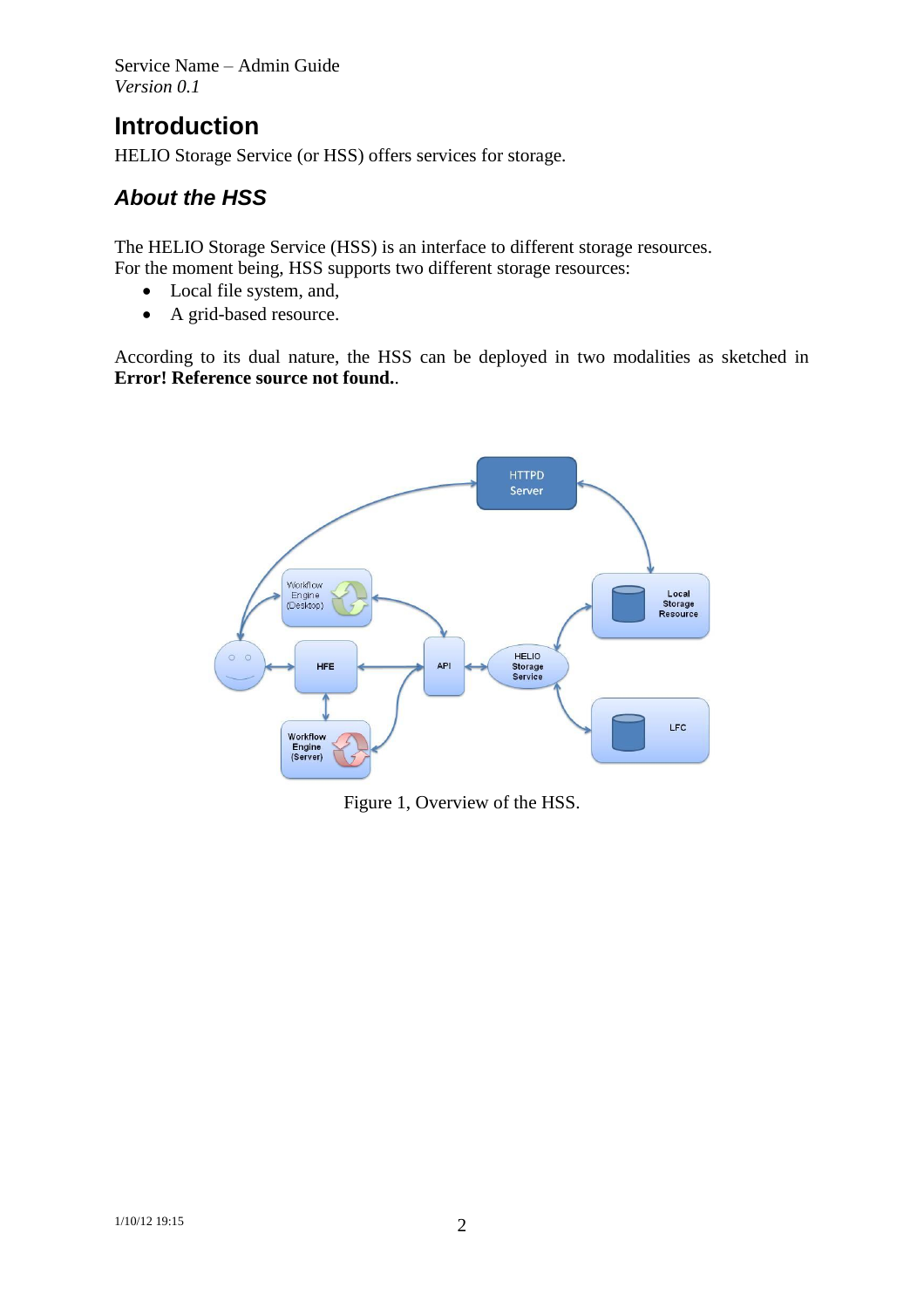Service Name – Admin Guide *Version 0.1*

## **Introduction**

HELIO Storage Service (or HSS) offers services for storage.

### *About the HSS*

The HELIO Storage Service (HSS) is an interface to different storage resources. For the moment being, HSS supports two different storage resources:

- Local file system, and,
- A grid-based resource.

According to its dual nature, the HSS can be deployed in two modalities as sketched in **Error! Reference source not found.**.



<span id="page-4-0"></span>Figure 1, Overview of the HSS.